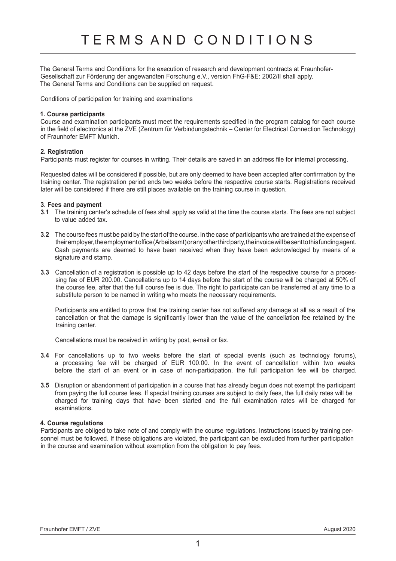The General Terms and Conditions for the execution of research and development contracts at Fraunhofer-Gesellschaft zur Förderung der angewandten Forschung e.V., version FhG-F&E: 2002/II shall apply. The General Terms and Conditions can be supplied on request.

Conditions of participation for training and examinations

#### **1. Course participants**

Course and examination participants must meet the requirements specified in the program catalog for each course in the field of electronics at the ZVE (Zentrum für Verbindungstechnik – Center for Electrical Connection Technology) of Fraunhofer EMFT Munich.

# **2. Registration**

Participants must register for courses in writing. Their details are saved in an address file for internal processing.

Requested dates will be considered if possible, but are only deemed to have been accepted after confirmation by the training center. The registration period ends two weeks before the respective course starts. Registrations received later will be considered if there are still places available on the training course in question.

### **3. Fees and payment**

- **3.1** The training center's schedule of fees shall apply as valid at the time the course starts. The fees are not subject to value added tax.
- **3.2** The course fees must be paid by the start of the course. In the case of participants who are trained at the expense of their employer, the employment office (Arbeitsamt) or any other third party, the invoice will be sent to this funding agent. Cash payments are deemed to have been received when they have been acknowledged by means of a signature and stamp
- **3.3** Cancellation of a registration is possible up to 42 days before the start of the respective course for a processing fee of EUR 200.00. Cancellations up to 14 days before the start of the course will be charged at 50% of the course fee, after that the full course fee is due. The right to participate can be transferred at any time to a substitute person to be named in writing who meets the necessary requirements.

Participants are entitled to prove that the training center has not suffered any damage at all as a result of the cancellation or that the damage is significantly lower than the value of the cancellation fee retained by the training center.

Cancellations must be received in writing by post, e-mail or fax.

- **3.4** For cancellations up to two weeks before the start of special events (such as technology forums), a processing fee will be charged of EUR 100.00. In the event of cancellation within two weeks before the start of an event or in case of non-participation, the full participation fee will be charged.
- **3.5** Disruption or abandonment of participation in a course that has already begun does not exempt the participant from paying the full course fees. If special training courses are subject to daily fees, the full daily rates will be charged for training days that have been started and the full examination rates will be charged for examinations.

# **4. Course regulations**

Participants are obliged to take note of and comply with the course regulations. Instructions issued by training personnel must be followed. If these obligations are violated, the participant can be excluded from further participation in the course and examination without exemption from the obligation to pay fees.